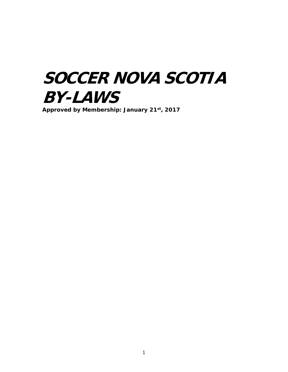# **SOCCER NOVA SCOTIA BY-LAWS**

**Approved by Membership: January 21st, 2017**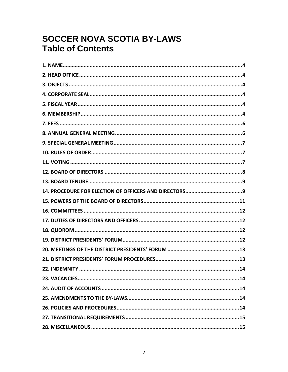## **SOCCER NOVA SCOTIA BY-LAWS Table of Contents**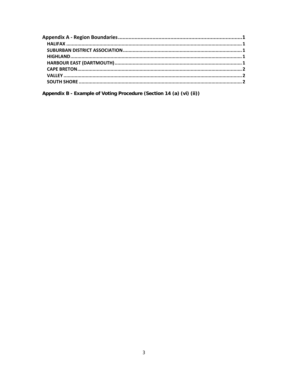Appendix B - Example of Voting Procedure (Section 14 (a) (vi) (ii))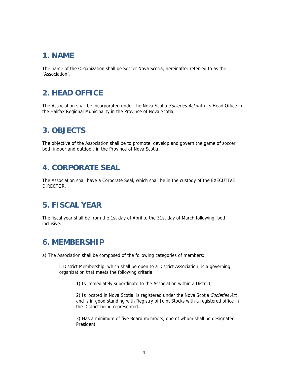#### **1. NAME**

The name of the Organization shall be Soccer Nova Scotia, hereinafter referred to as the "Association".

### **2. HEAD OFFICE**

The Association shall be incorporated under the Nova Scotia Societies Act with its Head Office in the Halifax Regional Municipality in the Province of Nova Scotia.

#### **3. OBJECTS**

The objective of the Association shall be to promote, develop and govern the game of soccer, both indoor and outdoor, in the Province of Nova Scotia.

#### **4. CORPORATE SEAL**

The Association shall have a Corporate Seal, which shall be in the custody of the EXECUTIVE DIRECTOR.

#### **5. FISCAL YEAR**

The fiscal year shall be from the 1st day of April to the 31st day of March following, both inclusive.

#### **6. MEMBERSHIP**

a) The Association shall be composed of the following categories of members:

i. District Membership, which shall be open to a District Association, is a governing organization that meets the following criteria:

1) Is immediately subordinate to the Association within a District;

2) Is located in Nova Scotia, is registered under the Nova Scotia Societies Act, and is in good standing with Registry of Joint Stocks with a registered office in the District being represented.

3) Has a minimum of five Board members, one of whom shall be designated President;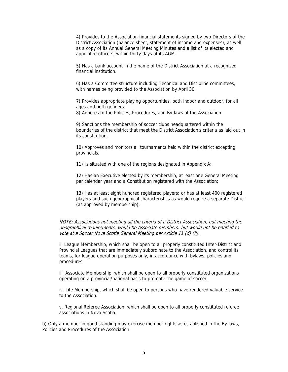4) Provides to the Association financial statements signed by two Directors of the District Association (balance sheet, statement of income and expenses), as well as a copy of its Annual General Meeting Minutes and a list of its elected and appointed officers, within thirty days of its AGM.

5) Has a bank account in the name of the District Association at a recognized financial institution.

6) Has a Committee structure including Technical and Discipline committees, with names being provided to the Association by April 30.

7) Provides appropriate playing opportunities, both indoor and outdoor, for all ages and both genders.

8) Adheres to the Policies, Procedures, and By-laws of the Association.

9) Sanctions the membership of soccer clubs headquartered within the boundaries of the district that meet the District Association's criteria as laid out in its constitution.

10) Approves and monitors all tournaments held within the district excepting provincials.

11) Is situated with one of the regions designated in Appendix A;

12) Has an Executive elected by its membership, at least one General Meeting per calendar year and a Constitution registered with the Association;

13) Has at least eight hundred registered players; or has at least 400 registered players and such geographical characteristics as would require a separate District (as approved by membership).

NOTE: Associations not meeting all the criteria of a District Association, but meeting the geographical requirements, would be Associate members; but would not be entitled to vote at a Soccer Nova Scotia General Meeting per Article 11 (d) (ii).

ii. League Membership, which shall be open to all properly constituted Inter-District and Provincial Leagues that are immediately subordinate to the Association, and control its teams, for league operation purposes only, in accordance with bylaws, policies and procedures.

iii. Associate Membership, which shall be open to all properly constituted organizations operating on a provincial/national basis to promote the game of soccer.

iv. Life Membership, which shall be open to persons who have rendered valuable service to the Association.

v. Regional Referee Association, which shall be open to all properly constituted referee associations in Nova Scotia.

b) Only a member in good standing may exercise member rights as established in the By-laws, Policies and Procedures of the Association.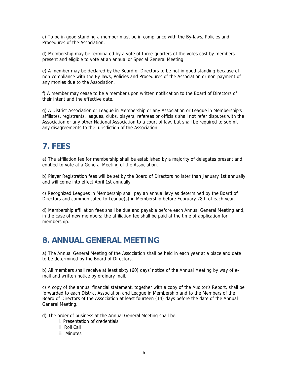c) To be in good standing a member must be in compliance with the By-laws, Policies and Procedures of the Association.

d) Membership may be terminated by a vote of three-quarters of the votes cast by members present and eligible to vote at an annual or Special General Meeting.

e) A member may be declared by the Board of Directors to be not in good standing because of non-compliance with the By-laws, Policies and Procedures of the Association or non-payment of any monies due to the Association.

f) A member may cease to be a member upon written notification to the Board of Directors of their intent and the effective date.

g) A District Association or League in Membership or any Association or League in Membership's affiliates, registrants, leagues, clubs, players, referees or officials shall not refer disputes with the Association or any other National Association to a court of law, but shall be required to submit any disagreements to the jurisdiction of the Association.

#### **7. FEES**

a) The affiliation fee for membership shall be established by a majority of delegates present and entitled to vote at a General Meeting of the Association.

b) Player Registration fees will be set by the Board of Directors no later than January 1st annually and will come into effect April 1st annually.

c) Recognized Leagues in Membership shall pay an annual levy as determined by the Board of Directors and communicated to League(s) in Membership before February 28th of each year.

d) Membership affiliation fees shall be due and payable before each Annual General Meeting and, in the case of new members; the affiliation fee shall be paid at the time of application for membership.

#### **8. ANNUAL GENERAL MEETING**

a) The Annual General Meeting of the Association shall be held in each year at a place and date to be determined by the Board of Directors.

b) All members shall receive at least sixty (60) days' notice of the Annual Meeting by way of email and written notice by ordinary mail.

c) A copy of the annual financial statement, together with a copy of the Auditor's Report, shall be forwarded to each District Association and League in Membership and to the Members of the Board of Directors of the Association at least fourteen (14) days before the date of the Annual General Meeting.

d) The order of business at the Annual General Meeting shall be:

- i. Presentation of credentials
- ii. Roll Call
- iii. Minutes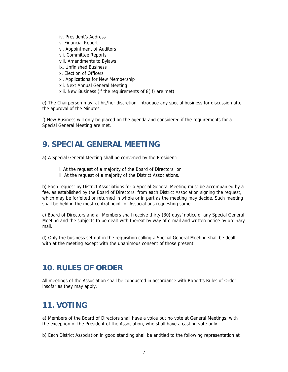iv. President's Address v. Financial Report vi. Appointment of Auditors vii. Committee Reports viii. Amendments to Bylaws ix. Unfinished Business x. Election of Officers xi. Applications for New Membership xii. Next Annual General Meeting xiii. New Business (if the requirements of 8( f) are met)

e) The Chairperson may, at his/her discretion, introduce any special business for discussion after the approval of the Minutes.

f) New Business will only be placed on the agenda and considered if the requirements for a Special General Meeting are met.

#### **9. SPECIAL GENERAL MEETING**

a) A Special General Meeting shall be convened by the President:

- i. At the request of a majority of the Board of Directors; or
- ii. At the request of a majority of the District Associations.

b) Each request by District Associations for a Special General Meeting must be accompanied by a fee, as established by the Board of Directors, from each District Association signing the request, which may be forfeited or returned in whole or in part as the meeting may decide. Such meeting shall be held in the most central point for Associations requesting same.

c) Board of Directors and all Members shall receive thirty (30) days' notice of any Special General Meeting and the subjects to be dealt with thereat by way of e-mail and written notice by ordinary mail.

d) Only the business set out in the requisition calling a Special General Meeting shall be dealt with at the meeting except with the unanimous consent of those present.

#### **10. RULES OF ORDER**

All meetings of the Association shall be conducted in accordance with Robert's Rules of Order insofar as they may apply.

#### **11. VOTING**

a) Members of the Board of Directors shall have a voice but no vote at General Meetings, with the exception of the President of the Association, who shall have a casting vote only.

b) Each District Association in good standing shall be entitled to the following representation at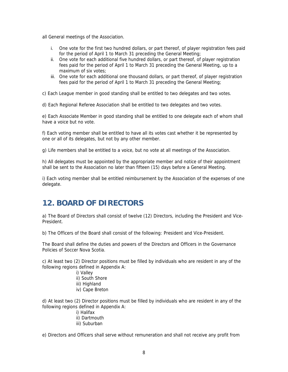all General meetings of the Association.

- i. One vote for the first two hundred dollars, or part thereof, of player registration fees paid for the period of April 1 to March 31 preceding the General Meeting;
- ii. One vote for each additional five hundred dollars, or part thereof, of player registration fees paid for the period of April 1 to March 31 preceding the General Meeting, up to a maximum of six votes;
- iii. One vote for each additional one thousand dollars, or part thereof, of player registration fees paid for the period of April 1 to March 31 preceding the General Meeting;

c) Each League member in good standing shall be entitled to two delegates and two votes.

d) Each Regional Referee Association shall be entitled to two delegates and two votes.

e) Each Associate Member in good standing shall be entitled to one delegate each of whom shall have a voice but no vote.

f) Each voting member shall be entitled to have all its votes cast whether it be represented by one or all of its delegates, but not by any other member.

g) Life members shall be entitled to a voice, but no vote at all meetings of the Association.

h) All delegates must be appointed by the appropriate member and notice of their appointment shall be sent to the Association no later than fifteen (15) days before a General Meeting.

i) Each voting member shall be entitled reimbursement by the Association of the expenses of one delegate.

#### **12. BOARD OF DIRECTORS**

a) The Board of Directors shall consist of twelve (12) Directors, including the President and Vice-President.

b) The Officers of the Board shall consist of the following: President and Vice-President.

The Board shall define the duties and powers of the Directors and Officers in the Governance Policies of Soccer Nova Scotia.

c) At least two (2) Director positions must be filled by individuals who are resident in any of the following regions defined in Appendix A:

- i) Valley
- ii) South Shore
- iii) Highland
- iv) Cape Breton

d) At least two (2) Director positions must be filled by individuals who are resident in any of the following regions defined in Appendix A:

- i) Halifax
- ii) Dartmouth
- iii) Suburban

e) Directors and Officers shall serve without remuneration and shall not receive any profit from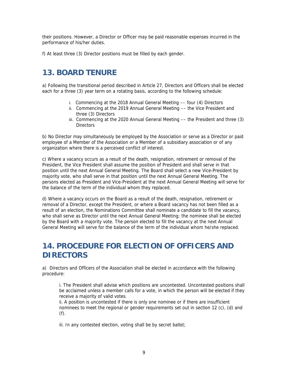their positions. However, a Director or Officer may be paid reasonable expenses incurred in the performance of his/her duties.

f) At least three (3) Director positions must be filled by each gender.

#### **13. BOARD TENURE**

a) Following the transitional period described in Article 27, Directors and Officers shall be elected each for a three (3) year term on a rotating basis, according to the following schedule:

- i. Commencing at the 2018 Annual General Meeting –– four (4) Directors
- ii. Commencing at the 2019 Annual General Meeting –– the Vice President and three (3) Directors
- iii. Commencing at the 2020 Annual General Meeting –– the President and three (3) **Directors**

b) No Director may simultaneously be employed by the Association or serve as a Director or paid employee of a Member of the Association or a Member of a subsidiary association or of any organization where there is a perceived conflict of interest.

c) Where a vacancy occurs as a result of the death, resignation, retirement or removal of the President, the Vice President shall assume the position of President and shall serve in that position until the next Annual General Meeting. The Board shall select a new Vice-President by majority vote, who shall serve in that position until the next Annual General Meeting. The persons elected as President and Vice-President at the next Annual General Meeting will serve for the balance of the term of the individual whom they replaced.

d) Where a vacancy occurs on the Board as a result of the death, resignation, retirement or removal of a Director, except the President, or where a Board vacancy has not been filled as a result of an election, the Nominations Committee shall nominate a candidate to fill the vacancy, who shall serve as Director until the next Annual General Meeting; the nominee shall be elected by the Board with a majority vote. The person elected to fill the vacancy at the next Annual General Meeting will serve for the balance of the term of the individual whom he/she replaced.

#### **14. PROCEDURE FOR ELECTION OF OFFICERS AND DIRECTORS**

a) Directors and Officers of the Association shall be elected in accordance with the following procedure:

i. The President shall advise which positions are uncontested. Uncontested positions shall be acclaimed unless a member calls for a vote, in which the person will be elected if they receive a majority of valid votes.

ii. A position is uncontested if there is only one nominee or if there are insufficient nominees to meet the regional or gender requirements set out in section 12 (c), (d) and (f).

iii. In any contested election, voting shall be by secret ballot;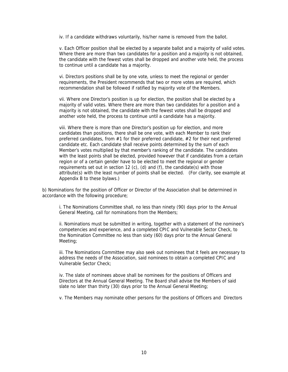iv. If a candidate withdraws voluntarily, his/her name is removed from the ballot.

v. Each Officer position shall be elected by a separate ballot and a majority of valid votes. Where there are more than two candidates for a position and a majority is not obtained, the candidate with the fewest votes shall be dropped and another vote held, the process to continue until a candidate has a majority.

vi. Directors positions shall be by one vote, unless to meet the regional or gender requirements, the President recommends that two or more votes are required, which recommendation shall be followed if ratified by majority vote of the Members.

vii. Where one Director's position is up for election, the position shall be elected by a majority of valid votes. Where there are more than two candidates for a position and a majority is not obtained, the candidate with the fewest votes shall be dropped and another vote held, the process to continue until a candidate has a majority.

viii. Where there is more than one Director's position up for election, and more candidates than positions, there shall be one vote, with each Member to rank their preferred candidates, from #1 for their preferred candidate, #2 for their next preferred candidate etc. Each candidate shall receive points determined by the sum of each Member's votes multiplied by that member's ranking of the candidate. The candidates with the least points shall be elected, provided however that if candidates from a certain region or of a certain gender have to be elected to meet the regional or gender requirements set out in section 12 (c), (d) and (f), the candidate(s) with those attribute(s) with the least number of points shall be elected. (For clarity, see example at Appendix B to these bylaws.)

b) Nominations for the position of Officer or Director of the Association shall be determined in accordance with the following procedure;

i. The Nominations Committee shall, no less than ninety (90) days prior to the Annual General Meeting, call for nominations from the Members;

ii. Nominations must be submitted in writing, together with a statement of the nominee's competencies and experience, and a completed CPIC and Vulnerable Sector Check, to the Nomination Committee no less than sixty (60) days prior to the Annual General Meeting;

iii. The Nominations Committee may also seek out nominees that it feels are necessary to address the needs of the Association, said nominees to obtain a completed CPIC and Vulnerable Sector Check;

iv. The slate of nominees above shall be nominees for the positions of Officers and Directors at the Annual General Meeting. The Board shall advise the Members of said slate no later than thirty (30) days prior to the Annual General Meeting;

v. The Members may nominate other persons for the positions of Officers and Directors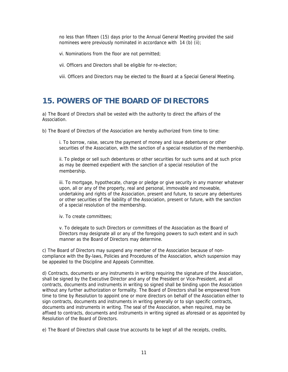no less than fifteen (15) days prior to the Annual General Meeting provided the said nominees were previously nominated in accordance with 14 (b) (ii);

vi. Nominations from the floor are not permitted;

vii. Officers and Directors shall be eligible for re-election;

viii. Officers and Directors may be elected to the Board at a Special General Meeting.

#### **15. POWERS OF THE BOARD OF DIRECTORS**

a) The Board of Directors shall be vested with the authority to direct the affairs of the Association.

b) The Board of Directors of the Association are hereby authorized from time to time:

i. To borrow, raise, secure the payment of money and issue debentures or other securities of the Association, with the sanction of a special resolution of the membership.

ii. To pledge or sell such debentures or other securities for such sums and at such price as may be deemed expedient with the sanction of a special resolution of the membership.

iii. To mortgage, hypothecate, charge or pledge or give security in any manner whatever upon, all or any of the property, real and personal, immovable and moveable, undertaking and rights of the Association, present and future, to secure any debentures or other securities of the liability of the Association, present or future, with the sanction of a special resolution of the membership.

iv. To create committees;

v. To delegate to such Directors or committees of the Association as the Board of Directors may designate all or any of the foregoing powers to such extent and in such manner as the Board of Directors may determine.

c) The Board of Directors may suspend any member of the Association because of noncompliance with the By-laws, Policies and Procedures of the Association, which suspension may be appealed to the Discipline and Appeals Committee.

d) Contracts, documents or any instruments in writing requiring the signature of the Association, shall be signed by the Executive Director and any of the President or Vice-President, and all contracts, documents and instruments in writing so signed shall be binding upon the Association without any further authorization or formality. The Board of Directors shall be empowered from time to time by Resolution to appoint one or more directors on behalf of the Association either to sign contracts, documents and instruments in writing generally or to sign specific contracts, documents and instruments in writing. The seal of the Association, when required, may be affixed to contracts, documents and instruments in writing signed as aforesaid or as appointed by Resolution of the Board of Directors.

e) The Board of Directors shall cause true accounts to be kept of all the receipts, credits,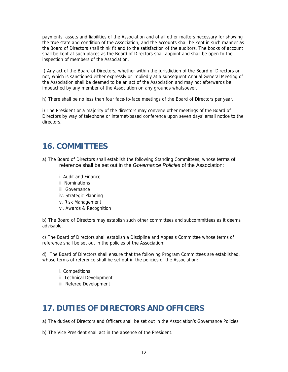payments, assets and liabilities of the Association and of all other matters necessary for showing the true state and condition of the Association, and the accounts shall be kept in such manner as the Board of Directors shall think fit and to the satisfaction of the auditors. The books of account shall be kept at such places as the Board of Directors shall appoint and shall be open to the inspection of members of the Association.

f) Any act of the Board of Directors, whether within the jurisdiction of the Board of Directors or not, which is sanctioned either expressly or impliedly at a subsequent Annual General Meeting of the Association shall be deemed to be an act of the Association and may not afterwards be impeached by any member of the Association on any grounds whatsoever.

h) There shall be no less than four face-to-face meetings of the Board of Directors per year.

i) The President or a majority of the directors may convene other meetings of the Board of Directors by way of telephone or internet-based conference upon seven days' email notice to the directors.

#### **16. COMMITTEES**

- a) The Board of Directors shall establish the following Standing Committees, whose terms of reference shall be set out in the *Governance Policies* of the Association:
	- i. Audit and Finance
	- ii. Nominations
	- iii. Governance
	- iv. Strategic Planning
	- v. Risk Management
	- vi. Awards & Recognition

b) The Board of Directors may establish such other committees and subcommittees as it deems advisable.

c) The Board of Directors shall establish a Discipline and Appeals Committee whose terms of reference shall be set out in the policies of the Association:

d) The Board of Directors shall ensure that the following Program Committees are established, whose terms of reference shall be set out in the policies of the Association:

- i. Competitions
- ii. Technical Development
- iii. Referee Development

#### **17. DUTIES OF DIRECTORS AND OFFICERS**

a) The duties of Directors and Officers shall be set out in the Association's Governance Policies.

b) The Vice President shall act in the absence of the President.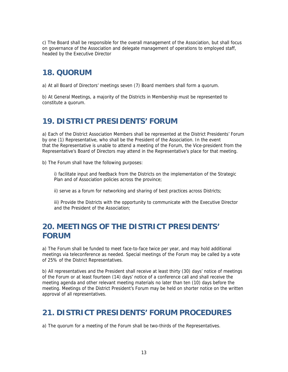c) The Board shall be responsible for the overall management of the Association, but shall focus on governance of the Association and delegate management of operations to employed staff, headed by the Executive Director

#### **18. QUORUM**

a) At all Board of Directors' meetings seven (7) Board members shall form a quorum.

b) At General Meetings, a majority of the Districts in Membership must be represented to constitute a quorum.

#### **19. DISTRICT PRESIDENTS' FORUM**

a) Each of the District Association Members shall be represented at the District Presidents' Forum by one (1) Representative, who shall be the President of the Association. In the event that the Representative is unable to attend a meeting of the Forum, the Vice-president from the Representative's Board of Directors may attend in the Representative's place for that meeting.

b) The Forum shall have the following purposes:

i) facilitate input and feedback from the Districts on the implementation of the Strategic Plan and of Association policies across the province;

ii) serve as a forum for networking and sharing of best practices across Districts;

iii) Provide the Districts with the opportunity to communicate with the Executive Director and the President of the Association;

#### **20. MEETINGS OF THE DISTRICT PRESIDENTS' FORUM**

a) The Forum shall be funded to meet face-to-face twice per year, and may hold additional meetings via teleconference as needed. Special meetings of the Forum may be called by a vote of 25% of the District Representatives.

b) All representatives and the President shall receive at least thirty (30) days' notice of meetings of the Forum or at least fourteen (14) days' notice of a conference call and shall receive the meeting agenda and other relevant meeting materials no later than ten (10) days before the meeting. Meetings of the District President's Forum may be held on shorter notice on the written approval of all representatives.

#### **21. DISTRICT PRESIDENTS' FORUM PROCEDURES**

a) The quorum for a meeting of the Forum shall be two-thirds of the Representatives.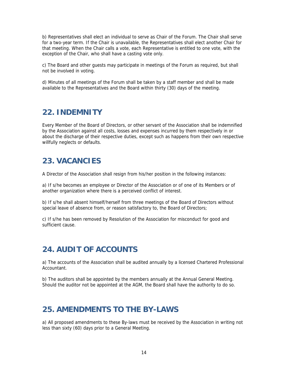b) Representatives shall elect an individual to serve as Chair of the Forum. The Chair shall serve for a two-year term. If the Chair is unavailable, the Representatives shall elect another Chair for that meeting. When the Chair calls a vote, each Representative is entitled to one vote, with the exception of the Chair, who shall have a casting vote only.

c) The Board and other guests may participate in meetings of the Forum as required, but shall not be involved in voting.

d) Minutes of all meetings of the Forum shall be taken by a staff member and shall be made available to the Representatives and the Board within thirty (30) days of the meeting.

#### **22. INDEMNITY**

Every Member of the Board of Directors, or other servant of the Association shall be indemnified by the Association against all costs, losses and expenses incurred by them respectively in or about the discharge of their respective duties, except such as happens from their own respective willfully neglects or defaults.

#### **23. VACANCIES**

A Director of the Association shall resign from his/her position in the following instances:

a) If s/he becomes an employee or Director of the Association or of one of its Members or of another organization where there is a perceived conflict of interest.

b) If s/he shall absent himself/herself from three meetings of the Board of Directors without special leave of absence from, or reason satisfactory to, the Board of Directors;

c) If s/he has been removed by Resolution of the Association for misconduct for good and sufficient cause.

#### **24. AUDIT OF ACCOUNTS**

a) The accounts of the Association shall be audited annually by a licensed Chartered Professional Accountant.

b) The auditors shall be appointed by the members annually at the Annual General Meeting. Should the auditor not be appointed at the AGM, the Board shall have the authority to do so.

#### **25. AMENDMENTS TO THE BY-LAWS**

a) All proposed amendments to these By-laws must be received by the Association in writing not less than sixty (60) days prior to a General Meeting.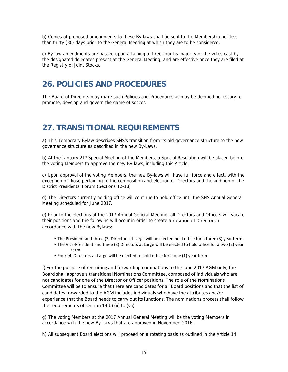b) Copies of proposed amendments to these By-laws shall be sent to the Membership not less than thirty (30) days prior to the General Meeting at which they are to be considered.

c) By-law amendments are passed upon attaining a three-fourths majority of the votes cast by the designated delegates present at the General Meeting, and are effective once they are filed at the Registry of Joint Stocks.

#### **26. POLICIES AND PROCEDURES**

The Board of Directors may make such Policies and Procedures as may be deemed necessary to promote, develop and govern the game of soccer.

#### **27. TRANSITIONAL REQUIREMENTS**

a) This Temporary Bylaw describes SNS's transition from its old governance structure to the new governance structure as described in the new By-Laws.

b) At the January 21<sup>st</sup> Special Meeting of the Members, a Special Resolution will be placed before the voting Members to approve the new By-laws, including this Article.

c) Upon approval of the voting Members, the new By-laws will have full force and effect, with the exception of those pertaining to the composition and election of Directors and the addition of the District Presidents' Forum (Sections 12-18)

d) The Directors currently holding office will continue to hold office until the SNS Annual General Meeting scheduled for June 2017.

e) Prior to the elections at the 2017 Annual General Meeting, all Directors and Officers will vacate their positions and the following will occur in order to create a rotation of Directors in accordance with the new Bylaws:

- The President and three (3) Directors at Large will be elected hold office for a three (3) year term.
- The Vice-President and three (3) Directors at Large will be elected to hold office for a two (2) year term.
- Four (4) Directors at Large will be elected to hold office for a one (1) year term

f) For the purpose of recruiting and forwarding nominations to the June 2017 AGM only, the Board shall approve a transitional Nominations Committee, composed of individuals who are not candidates for one of the Director or Officer positions. The role of the Nominations Committee will be to ensure that there are candidates for all Board positions and that the list of candidates forwarded to the AGM includes individuals who have the attributes and/or experience that the Board needs to carry out its functions. The nominations process shall follow the requirements of section 14(b) (ii) to (vii)

g) The voting Members at the 2017 Annual General Meeting will be the voting Members in accordance with the new By-Laws that are approved in November, 2016.

h) All subsequent Board elections will proceed on a rotating basis as outlined in the Article 14.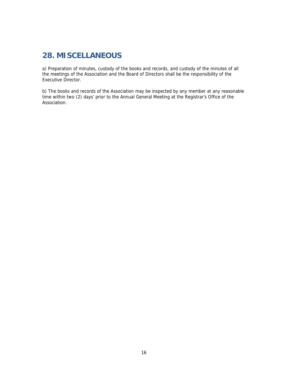#### **28. MISCELLANEOUS**

a) Preparation of minutes, custody of the books and records, and custody of the minutes of all the meetings of the Association and the Board of Directors shall be the responsibility of the Executive Director.

b) The books and records of the Association may be inspected by any member at any reasonable time within two (2) days' prior to the Annual General Meeting at the Registrar's Office of the Association.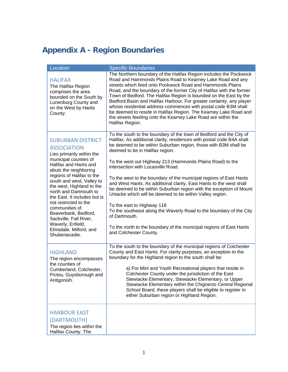# **Appendix A - Region Boundaries**

| Location                                                                                                                                                                                                                                                                                                                                                                                                                                                             | <b>Specific Boundaries</b>                                                                                                                                                                                                                                                                                                                                                                                                                                                                                                                                                                                                                                                                                                                                                                                                                                  |
|----------------------------------------------------------------------------------------------------------------------------------------------------------------------------------------------------------------------------------------------------------------------------------------------------------------------------------------------------------------------------------------------------------------------------------------------------------------------|-------------------------------------------------------------------------------------------------------------------------------------------------------------------------------------------------------------------------------------------------------------------------------------------------------------------------------------------------------------------------------------------------------------------------------------------------------------------------------------------------------------------------------------------------------------------------------------------------------------------------------------------------------------------------------------------------------------------------------------------------------------------------------------------------------------------------------------------------------------|
| <b>HALIFAX</b><br>The Halifax Region<br>comprises the area<br>bounded on the South by<br>Lunenburg County and<br>on the West by Hants<br>County.                                                                                                                                                                                                                                                                                                                     | The Northern boundary of the Halifax Region includes the Pockwock<br>Road and Hammonds Plains Road to Kearney Lake Road and any<br>streets which feed onto Pockwock Road and Hammonds Plains<br>Road, and the boundary of the former City of Halifax with the former<br>Town of Bedford. The Halifax Region is bounded on the East by the<br>Bedford Basin and Halifax Harbour. For greater certainty, any player<br>whose residential address commences with postal code B3M shall<br>be deemed to reside in Halifax Region. The Kearney Lake Road and<br>the streets feeding onto the Kearney Lake Road are within the<br>Halifax Region.                                                                                                                                                                                                                 |
| <b>SUBURBAN DISTRICT</b><br><b>ASSOCIATION</b><br>Lies primarily within the<br>municipal counties of<br>Halifax and Hants and<br>abuts the neighboring<br>regions of Halifax to the<br>south and west, Valley to<br>the west, Highland to the<br>north and Dartmouth to<br>the East. It includes but is<br>not restricted to the<br>communities of<br>Beaverbank, Bedford,<br>Sackville, Fall River,<br>Waverly, Enfield,<br>Elmsdale, Milford, and<br>Shubenacadie. | To the south to the boundary of the town of Bedford and the City of<br>Halifax. As additional clarity, residences with postal code B4A shall<br>be deemed to be within Suburban region, those with B3M shall be<br>deemed to be in Halifax region.<br>To the west out Highway 213 (Hammonds Plains Road) to the<br>intersection with Lucasville Road.<br>To the west to the boundary of the municipal regions of East Hants<br>and West Hants. As additional clarity, East Hants to the west shall<br>be deemed to be within Suburban region with the exception of Mount<br>Uniacke which will be deemed to be within Valley region.<br>To the east to Highway 118<br>To the southeast along the Waverly Road to the boundary of the City<br>of Dartmouth.<br>To the north to the boundary of the municipal regions of East Hants<br>and Colchester County. |
| <b>HIGHLAND</b><br>The region encompasses<br>the counties of<br>Cumberland, Colchester,<br>Pictou, Guysborough and<br>Antigonish.                                                                                                                                                                                                                                                                                                                                    | To the south to the boundary of the municipal regions of Colchester<br>County and East Hants. For clarity purposes, an exception to the<br>boundary for the Highland region to the south shall be:<br>a) For Mini and Youth Recreational players that reside in<br>Colchester County under the jurisdiction of the East<br>Stewiacke Elementary, Stewiacke Elementary, or Upper<br>Stewiacke Elementary within the Chignecto Central Regional<br>School Board, these players shall be eligible to register in<br>either Suburban region or Highland Region.                                                                                                                                                                                                                                                                                                 |
| <b>HARBOUR EAST</b><br>(DARTMOUTH)<br>The region lies within the<br>Halifax County. The                                                                                                                                                                                                                                                                                                                                                                              |                                                                                                                                                                                                                                                                                                                                                                                                                                                                                                                                                                                                                                                                                                                                                                                                                                                             |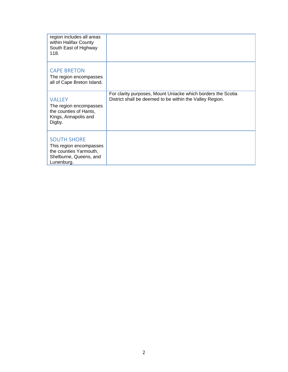| region includes all areas<br>within Halifax County<br>South East of Highway<br>118.                             |                                                                                                                          |
|-----------------------------------------------------------------------------------------------------------------|--------------------------------------------------------------------------------------------------------------------------|
| <b>CAPE BRETON</b><br>The region encompasses<br>all of Cape Breton Island.                                      |                                                                                                                          |
| <b>VALLEY</b><br>The region encompasses<br>the counties of Hants,<br>Kings, Annapolis and<br>Digby.             | For clarity purposes, Mount Uniacke which borders the Scotia<br>District shall be deemed to be within the Valley Region. |
| <b>SOUTH SHORE</b><br>This region encompasses<br>the counties Yarmouth,<br>Shelburne, Queens, and<br>Lunenburg. |                                                                                                                          |